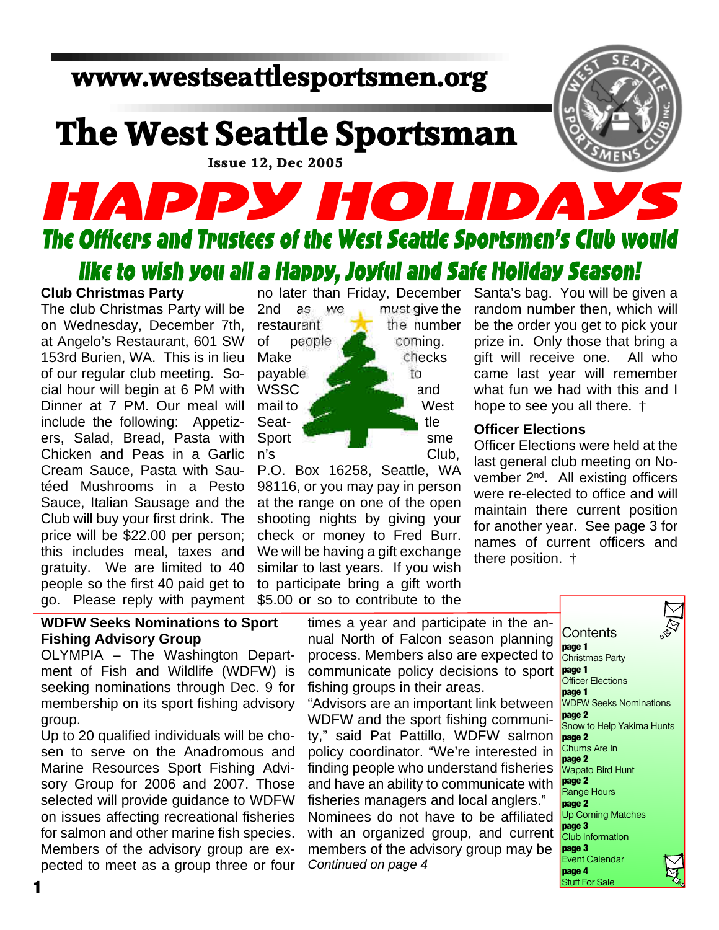## **www.westseattlesportsmen.org**

# **The West Seattle Sportsman**

**Issue 12, Dec 2005**

# *HAPPY HOLIDAYS*<br>The Officers and Trustees of the West Seattle Sportsmen's Club would

### like to wish you all a Happy, Joyful and Safe Holiday Season!

#### **Club Christmas Party**

The club Christmas Party will be on Wednesday, December 7th, at Angelo's Restaurant, 601 SW 153rd Burien, WA. This is in lieu of our regular club meeting. Social hour will begin at 6 PM with Dinner at 7 PM. Our meal will include the following: Appetizers, Salad, Bread, Pasta with Chicken and Peas in a Garlic Cream Sauce, Pasta with Sautéed Mushrooms in a Pesto Sauce, Italian Sausage and the Club will buy your first drink. The price will be \$22.00 per person; this includes meal, taxes and gratuity. We are limited to 40 people so the first 40 paid get to go. Please reply with payment

2nd as we must give the  $r$  restaurant  $\overline{r}$  the number of people coming. Make **Checks** payable to to WSSC and mail to West Seat-Sport sme sme n's Club,

P.O. Box 16258, Seattle, WA 98116, or you may pay in person at the range on one of the open shooting nights by giving your check or money to Fred Burr. We will be having a gift exchange similar to last years. If you wish to participate bring a gift worth \$5.00 or so to contribute to the

no later than Friday, December Santa's bag. You will be given a random number then, which will be the order you get to pick your prize in. Only those that bring a gift will receive one. All who came last year will remember what fun we had with this and I hope to see you all there. †

#### **Officer Elections**

Officer Elections were held at the last general club meeting on November 2nd. All existing officers were re-elected to office and will maintain there current position for another year. See page 3 for names of current officers and there position. †

#### **WDFW Seeks Nominations to Sport Fishing Advisory Group**

OLYMPIA – The Washington Department of Fish and Wildlife (WDFW) is seeking nominations through Dec. 9 for membership on its sport fishing advisory group.

Up to 20 qualified individuals will be chosen to serve on the Anadromous and Marine Resources Sport Fishing Advisory Group for 2006 and 2007. Those selected will provide guidance to WDFW on issues affecting recreational fisheries for salmon and other marine fish species. Members of the advisory group are expected to meet as a group three or four

times a year and participate in the annual North of Falcon season planning process. Members also are expected to communicate policy decisions to sport fishing groups in their areas.

"Advisors are an important link between WDFW and the sport fishing community," said Pat Pattillo, WDFW salmon policy coordinator. "We're interested in finding people who understand fisheries and have an ability to communicate with fisheries managers and local anglers." Nominees do not have to be affiliated with an organized group, and current members of the advisory group may be *Continued on page 4*

**Contents page 1** Christmas Party **page 1** Officer Elections **page 1** WDFW Seeks Nominations **page 2** Snow to Help Yakima Hunts **page 2** Chums Are In **page 2** Wapato Bird Hunt **page 2** Range Hours **page 2** Up Coming Matches **page 3** Club Information **page 3** Event Calendar **page 4 Stuff For Sale**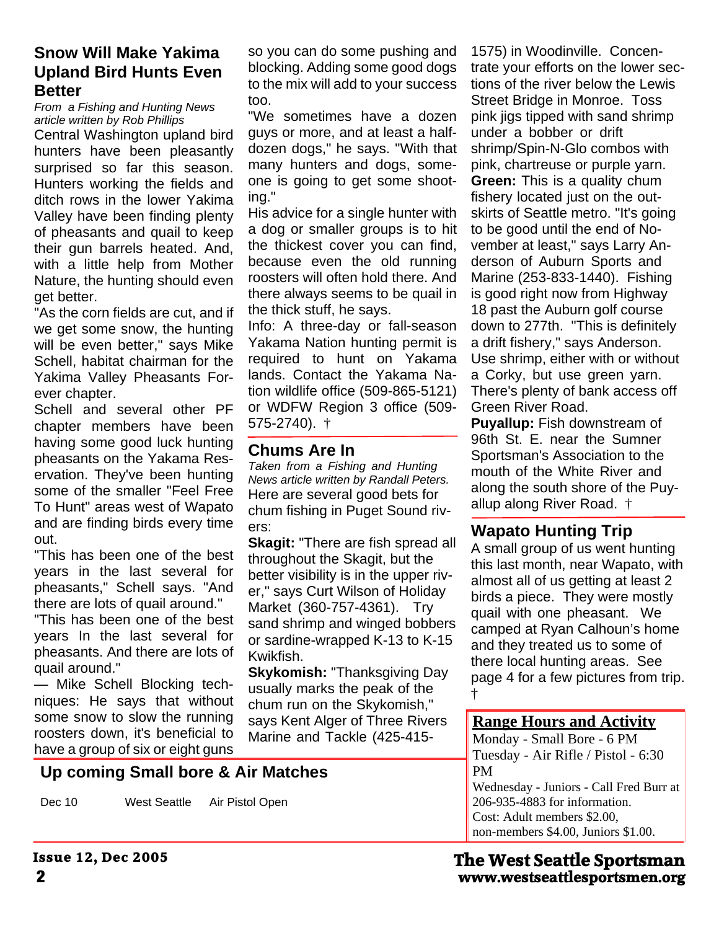#### **Snow Will Make Yakima Upland Bird Hunts Even Better**

*From a Fishing and Hunting News article written by Rob Phillips*

Central Washington upland bird hunters have been pleasantly surprised so far this season. Hunters working the fields and ditch rows in the lower Yakima Valley have been finding plenty of pheasants and quail to keep their gun barrels heated. And, with a little help from Mother Nature, the hunting should even get better.

"As the corn fields are cut, and if we get some snow, the hunting will be even better," says Mike Schell, habitat chairman for the Yakima Valley Pheasants Forever chapter.

Schell and several other PF chapter members have been having some good luck hunting pheasants on the Yakama Reservation. They've been hunting some of the smaller "Feel Free To Hunt" areas west of Wapato and are finding birds every time out.

"This has been one of the best years in the last several for pheasants," Schell says. "And there are lots of quail around."

"This has been one of the best years In the last several for pheasants. And there are lots of quail around."

— Mike Schell Blocking techniques: He says that without some snow to slow the running roosters down, it's beneficial to have a group of six or eight guns

#### **Up coming Small bore & Air Matches**

Dec 10 West Seattle Air Pistol Open

so you can do some pushing and blocking. Adding some good dogs to the mix will add to your success too.

"We sometimes have a dozen guys or more, and at least a halfdozen dogs," he says. "With that many hunters and dogs, someone is going to get some shooting."

His advice for a single hunter with a dog or smaller groups is to hit the thickest cover you can find, because even the old running roosters will often hold there. And there always seems to be quail in the thick stuff, he says.

Info: A three-day or fall-season Yakama Nation hunting permit is required to hunt on Yakama lands. Contact the Yakama Nation wildlife office (509-865-5121) or WDFW Region 3 office (509- 575-2740). †

#### **Chums Are In**

*Taken from a Fishing and Hunting News article written by Randall Peters.* Here are several good bets for chum fishing in Puget Sound rivers:

**Skagit:** "There are fish spread all throughout the Skagit, but the better visibility is in the upper river," says Curt Wilson of Holiday Market (360-757-4361). Try sand shrimp and winged bobbers or sardine-wrapped K-13 to K-15 Kwikfish.

**Skykomish:** "Thanksgiving Day usually marks the peak of the chum run on the Skykomish," says Kent Alger of Three Rivers Marine and Tackle (425-4151575) in Woodinville. Concentrate your efforts on the lower sections of the river below the Lewis Street Bridge in Monroe. Toss pink jigs tipped with sand shrimp under a bobber or drift shrimp/Spin-N-Glo combos with pink, chartreuse or purple yarn. **Green:** This is a quality chum fishery located just on the outskirts of Seattle metro. "It's going to be good until the end of November at least," says Larry Anderson of Auburn Sports and Marine (253-833-1440). Fishing is good right now from Highway 18 past the Auburn golf course down to 277th. "This is definitely a drift fishery," says Anderson. Use shrimp, either with or without a Corky, but use green yarn. There's plenty of bank access off Green River Road.

**Puyallup:** Fish downstream of 96th St. E. near the Sumner Sportsman's Association to the mouth of the White River and along the south shore of the Puyallup along River Road. †

#### **Wapato Hunting Trip**

A small group of us went hunting this last month, near Wapato, with almost all of us getting at least 2 birds a piece. They were mostly quail with one pheasant. We camped at Ryan Calhoun's home and they treated us to some of there local hunting areas. See page 4 for a few pictures from trip. †

#### **Range Hours and Activity**

Monday - Small Bore - 6 PM Tuesday - Air Rifle / Pistol - 6:30 PM Wednesday - Juniors - Call Fred Burr at 206-935-4883 for information. Cost: Adult members \$2.00, non-members \$4.00, Juniors \$1.00.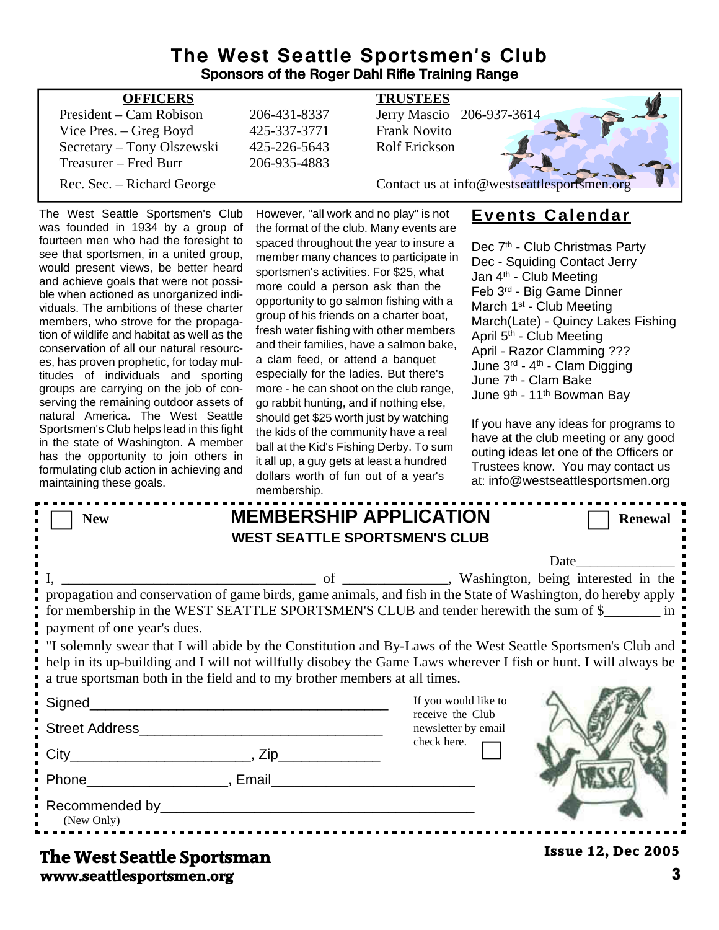#### **The West Seattle Sportsmen's Club Sponsors of the Roger Dahl Rifle Training Range**

| <b>OFFICERS</b>            |              | <b>TRUSTEES</b>                             |
|----------------------------|--------------|---------------------------------------------|
| President – Cam Robison    | 206-431-8337 | Jerry Mascio 206-937-3614                   |
| Vice Pres. – Greg Boyd     | 425-337-3771 | <b>Frank Novito</b>                         |
| Secretary - Tony Olszewski | 425-226-5643 | <b>Rolf Erickson</b>                        |
| Treasurer – Fred Burr      | 206-935-4883 |                                             |
| Rec. Sec. – Richard George |              | Contact us at info@westseattlesportsmen.org |
|                            |              |                                             |

The West Seattle Sportsmen's Club was founded in 1934 by a group of fourteen men who had the foresight to see that sportsmen, in a united group, would present views, be better heard and achieve goals that were not possible when actioned as unorganized individuals. The ambitions of these charter members, who strove for the propagation of wildlife and habitat as well as the conservation of all our natural resources, has proven prophetic, for today multitudes of individuals and sporting groups are carrying on the job of conserving the remaining outdoor assets of natural America. The West Seattle Sportsmen's Club helps lead in this fight in the state of Washington. A member has the opportunity to join others in formulating club action in achieving and maintaining these goals.

However, "all work and no play" is not the format of the club. Many events are spaced throughout the year to insure a member many chances to participate in sportsmen's activities. For \$25, what more could a person ask than the opportunity to go salmon fishing with a group of his friends on a charter boat, fresh water fishing with other members and their families, have a salmon bake, a clam feed, or attend a banquet especially for the ladies. But there's more - he can shoot on the club range, go rabbit hunting, and if nothing else, should get \$25 worth just by watching the kids of the community have a real ball at the Kid's Fishing Derby. To sum it all up, a guy gets at least a hundred dollars worth of fun out of a year's membership.

#### **Events Calendar**

Dec 7<sup>th</sup> - Club Christmas Party Dec - Squiding Contact Jerry Jan 4<sup>th</sup> - Club Meeting Feb 3rd - Big Game Dinner March  $1<sup>st</sup>$  - Club Meeting March(Late) - Quincy Lakes Fishing April 5<sup>th</sup> - Club Meeting April - Razor Clamming ??? June 3<sup>rd</sup> - 4<sup>th</sup> - Clam Digging June 7<sup>th</sup> - Clam Bake June 9th - 11th Bowman Bay

If you have any ideas for programs to have at the club meeting or any good outing ideas let one of the Officers or Trustees know. You may contact us at: info@westseattlesportsmen.org

| <b>New</b>                                                                                                                                                                                                                                                                                                     | <b>MEMBERSHIP APPLICATION</b>           | <b>Renewal</b>            |  |  |
|----------------------------------------------------------------------------------------------------------------------------------------------------------------------------------------------------------------------------------------------------------------------------------------------------------------|-----------------------------------------|---------------------------|--|--|
|                                                                                                                                                                                                                                                                                                                | <b>WEST SEATTLE SPORTSMEN'S CLUB</b>    |                           |  |  |
|                                                                                                                                                                                                                                                                                                                |                                         | Date                      |  |  |
| for membership in the WEST SEATTLE SPORTSMEN'S CLUB and tender herewith the sum of \$<br>payment of one year's dues.                                                                                                                                                                                           |                                         |                           |  |  |
| If solemnly swear that I will abide by the Constitution and By-Laws of the West Seattle Sportsmen's Club and<br>help in its up-building and I will not willfully disobey the Game Laws wherever I fish or hunt. I will always be<br>a true sportsman both in the field and to my brother members at all times. |                                         |                           |  |  |
| Signed Signed Signed Signed Signed Signed Signed Signed Signed Signed Signed Signed Signed Signed Signed Signed Signed Signed Signed Signed Signed Signed Signed Signed Signed Signed Signed Signed Signed Signed Signed Signe                                                                                 | If you would like to                    |                           |  |  |
|                                                                                                                                                                                                                                                                                                                | receive the Club<br>newsletter by email |                           |  |  |
|                                                                                                                                                                                                                                                                                                                | check here.                             |                           |  |  |
| Phone Reserves and Phone Reserves and Phone Reserves and Phone Reserves and Phone Reserves and Phone Reserves and Phone Reserves and Phone Reserves and Phone Reserves and Phone Reserves and Phone Reserves and Phone Reserve                                                                                 |                                         |                           |  |  |
| (New Only)                                                                                                                                                                                                                                                                                                     |                                         |                           |  |  |
| The West Seattle Sportsman                                                                                                                                                                                                                                                                                     |                                         | <b>Issue 12, Dec 2005</b> |  |  |

#### **www.seattlesportsmen.org 3 The West Seattle Sportsman**